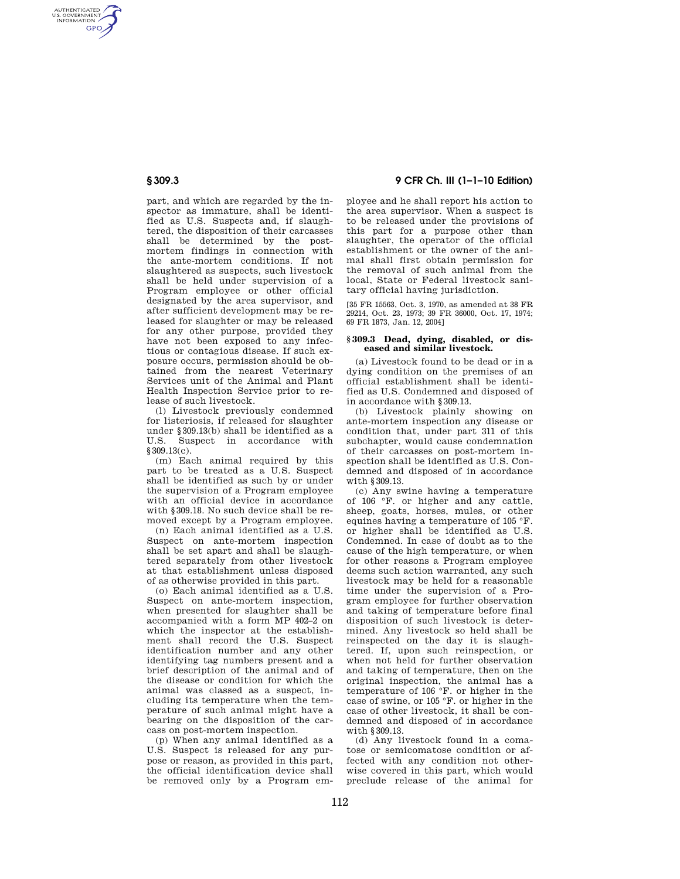AUTHENTICATED<br>U.S. GOVERNMENT<br>INFORMATION **GPO** 

> part, and which are regarded by the inspector as immature, shall be identified as U.S. Suspects and, if slaughtered, the disposition of their carcasses shall be determined by the postmortem findings in connection with the ante-mortem conditions. If not slaughtered as suspects, such livestock shall be held under supervision of a Program employee or other official designated by the area supervisor, and after sufficient development may be released for slaughter or may be released for any other purpose, provided they have not been exposed to any infectious or contagious disease. If such exposure occurs, permission should be obtained from the nearest Veterinary Services unit of the Animal and Plant Health Inspection Service prior to release of such livestock.

> (l) Livestock previously condemned for listeriosis, if released for slaughter under §309.13(b) shall be identified as a U.S. Suspect in accordance with §309.13(c).

> (m) Each animal required by this part to be treated as a U.S. Suspect shall be identified as such by or under the supervision of a Program employee with an official device in accordance with §309.18. No such device shall be removed except by a Program employee.

> (n) Each animal identified as a U.S. Suspect on ante-mortem inspection shall be set apart and shall be slaughtered separately from other livestock at that establishment unless disposed of as otherwise provided in this part.

> (o) Each animal identified as a U.S. Suspect on ante-mortem inspection, when presented for slaughter shall be accompanied with a form MP 402–2 on which the inspector at the establishment shall record the U.S. Suspect identification number and any other identifying tag numbers present and a brief description of the animal and of the disease or condition for which the animal was classed as a suspect, including its temperature when the temperature of such animal might have a bearing on the disposition of the carcass on post-mortem inspection.

> (p) When any animal identified as a U.S. Suspect is released for any purpose or reason, as provided in this part, the official identification device shall be removed only by a Program em-

# **§ 309.3 9 CFR Ch. III (1–1–10 Edition)**

ployee and he shall report his action to the area supervisor. When a suspect is to be released under the provisions of this part for a purpose other than slaughter, the operator of the official establishment or the owner of the animal shall first obtain permission for the removal of such animal from the local, State or Federal livestock sanitary official having jurisdiction.

[35 FR 15563, Oct. 3, 1970, as amended at 38 FR 29214, Oct. 23, 1973; 39 FR 36000, Oct. 17, 1974; 69 FR 1873, Jan. 12, 2004]

#### **§ 309.3 Dead, dying, disabled, or diseased and similar livestock.**

(a) Livestock found to be dead or in a dying condition on the premises of an official establishment shall be identified as U.S. Condemned and disposed of in accordance with §309.13.

(b) Livestock plainly showing on ante-mortem inspection any disease or condition that, under part 311 of this subchapter, would cause condemnation of their carcasses on post-mortem inspection shall be identified as U.S. Condemned and disposed of in accordance with §309.13.

(c) Any swine having a temperature of 106 °F. or higher and any cattle, sheep, goats, horses, mules, or other equines having a temperature of 105 °F. or higher shall be identified as U.S. Condemned. In case of doubt as to the cause of the high temperature, or when for other reasons a Program employee deems such action warranted, any such livestock may be held for a reasonable time under the supervision of a Program employee for further observation and taking of temperature before final disposition of such livestock is determined. Any livestock so held shall be reinspected on the day it is slaughtered. If, upon such reinspection, or when not held for further observation and taking of temperature, then on the original inspection, the animal has a temperature of 106 °F. or higher in the case of swine, or 105 °F. or higher in the case of other livestock, it shall be condemned and disposed of in accordance with §309.13.

(d) Any livestock found in a comatose or semicomatose condition or affected with any condition not otherwise covered in this part, which would preclude release of the animal for